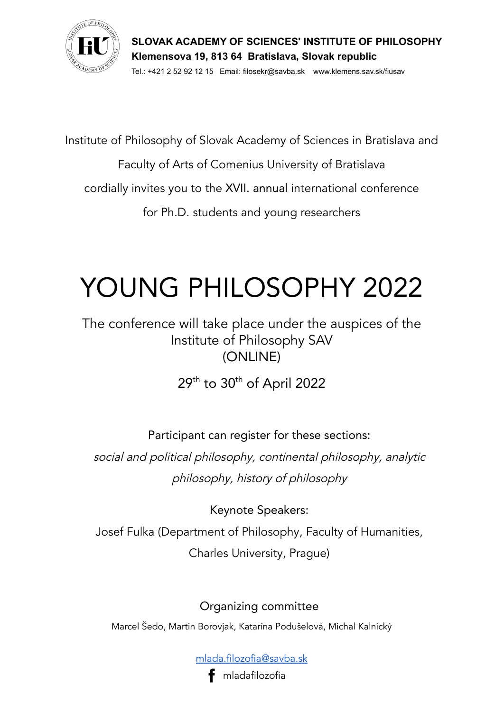

**SLOVAK ACADEMY OF SCIENCES' INSTITUTE OF PHILOSOPHY Klemensova 19, 813 64 Bratislava, Slovak republic**

Tel.: +421 2 52 92 12 15 Email: filosekr@savba.sk www.klemens.sav.sk/fiusav

Institute of Philosophy of Slovak Academy of Sciences in Bratislava and

Faculty of Arts of Comenius University of Bratislava

cordially invites you to the XVII. annual international conference

for Ph.D. students and young researchers

## YOUNG PHILOSOPHY 2022

The conference will take place under the auspices of the Institute of Philosophy SAV (ONLINE)

29<sup>th</sup> to 30<sup>th</sup> of April 2022

Participant can register for these sections: social and political philosophy, continental philosophy, analytic philosophy, history of philosophy

Keynote Speakers:

Josef Fulka (Department of Philosophy, Faculty of Humanities, Charles University, Prague)

Organizing committee

Marcel Šedo, Martin Borovjak, Katarína Podušelová, Michal Kalnický

[mlada.filozofia@savba.sk](mailto:mlada.filozofia@savba.sk) f mladafilozofia